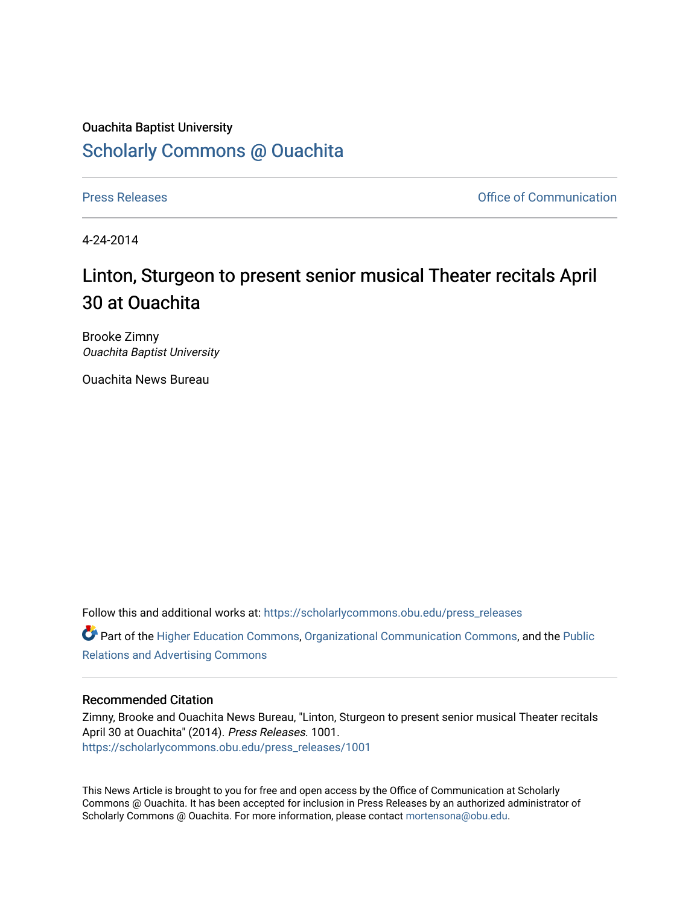## Ouachita Baptist University [Scholarly Commons @ Ouachita](https://scholarlycommons.obu.edu/)

[Press Releases](https://scholarlycommons.obu.edu/press_releases) **Press Releases Communication** 

4-24-2014

## Linton, Sturgeon to present senior musical Theater recitals April 30 at Ouachita

Brooke Zimny Ouachita Baptist University

Ouachita News Bureau

Follow this and additional works at: [https://scholarlycommons.obu.edu/press\\_releases](https://scholarlycommons.obu.edu/press_releases?utm_source=scholarlycommons.obu.edu%2Fpress_releases%2F1001&utm_medium=PDF&utm_campaign=PDFCoverPages)

Part of the [Higher Education Commons,](http://network.bepress.com/hgg/discipline/1245?utm_source=scholarlycommons.obu.edu%2Fpress_releases%2F1001&utm_medium=PDF&utm_campaign=PDFCoverPages) [Organizational Communication Commons,](http://network.bepress.com/hgg/discipline/335?utm_source=scholarlycommons.obu.edu%2Fpress_releases%2F1001&utm_medium=PDF&utm_campaign=PDFCoverPages) and the [Public](http://network.bepress.com/hgg/discipline/336?utm_source=scholarlycommons.obu.edu%2Fpress_releases%2F1001&utm_medium=PDF&utm_campaign=PDFCoverPages) [Relations and Advertising Commons](http://network.bepress.com/hgg/discipline/336?utm_source=scholarlycommons.obu.edu%2Fpress_releases%2F1001&utm_medium=PDF&utm_campaign=PDFCoverPages) 

## Recommended Citation

Zimny, Brooke and Ouachita News Bureau, "Linton, Sturgeon to present senior musical Theater recitals April 30 at Ouachita" (2014). Press Releases. 1001. [https://scholarlycommons.obu.edu/press\\_releases/1001](https://scholarlycommons.obu.edu/press_releases/1001?utm_source=scholarlycommons.obu.edu%2Fpress_releases%2F1001&utm_medium=PDF&utm_campaign=PDFCoverPages) 

This News Article is brought to you for free and open access by the Office of Communication at Scholarly Commons @ Ouachita. It has been accepted for inclusion in Press Releases by an authorized administrator of Scholarly Commons @ Ouachita. For more information, please contact [mortensona@obu.edu](mailto:mortensona@obu.edu).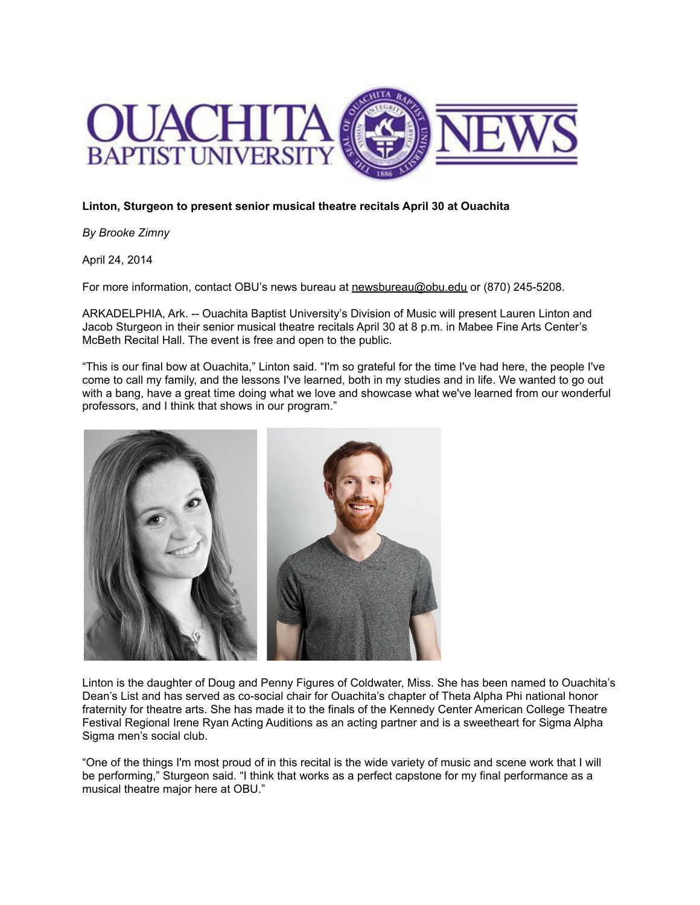

## **Linton, Sturgeon to present senior musical theatre recitals April 30 at Ouachita**

*By Brooke Zimny*

April 24, 2014

For more information, contact OBU's news bureau at [newsbureau@obu.edu](mailto:newsbureau@obu.edu) or (870) 245-5208.

ARKADELPHIA, Ark. -- Ouachita Baptist University's Division of Music will present Lauren Linton and Jacob Sturgeon in their senior musical theatre recitals April 30 at 8 p.m. in Mabee Fine Arts Center's McBeth Recital Hall. The event is free and open to the public.

"This is our final bow at Ouachita," Linton said. "I'm so grateful for the time I've had here, the people I've come to call my family, and the lessons I've learned, both in my studies and in life. We wanted to go out with a bang, have a great time doing what we love and showcase what we've learned from our wonderful professors, and I think that shows in our program."



Linton is the daughter of Doug and Penny Figures of Coldwater, Miss. She has been named to Ouachita's Dean's List and has served as co-social chair for Ouachita's chapter of Theta Alpha Phi national honor fraternity for theatre arts. She has made it to the finals of the Kennedy Center American College Theatre Festival Regional Irene Ryan Acting Auditions as an acting partner and is a sweetheart for Sigma Alpha Sigma men's social club.

"One of the things I'm most proud of in this recital is the wide variety of music and scene work that I will be performing," Sturgeon said. "I think that works as a perfect capstone for my final performance as a musical theatre major here at OBU."